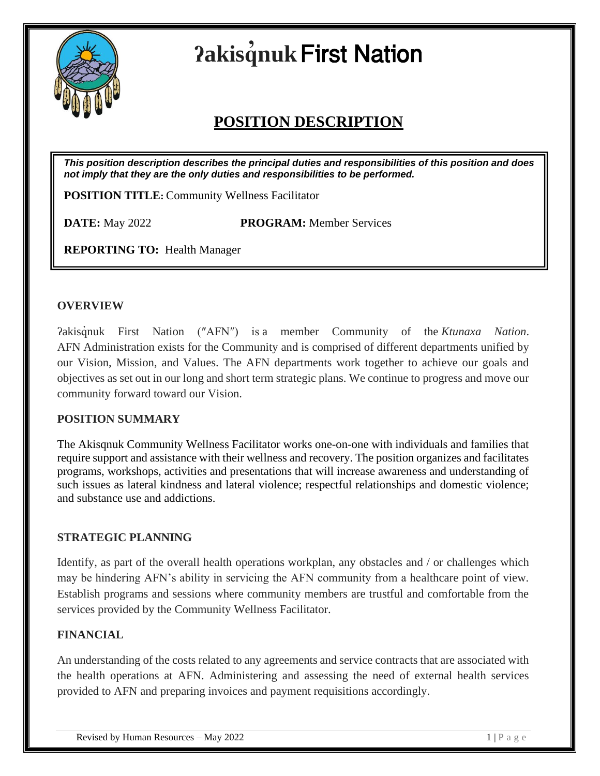

# **ʔakisq ̓nuk**First Nation

# **POSITION DESCRIPTION**

*This position description describes the principal duties and responsibilities of this position and does not imply that they are the only duties and responsibilities to be performed.*

**POSITION TITLE:** Community Wellness Facilitator

**DATE:** May 2022 **PROGRAM:** Member Services

**REPORTING TO:**Health Manager

#### **OVERVIEW**

ʔakisq̓nuk First Nation (″AFN″) is a member Community of the *Ktunaxa Nation*. AFN Administration exists for the Community and is comprised of different departments unified by our Vision, Mission, and Values. The AFN departments work together to achieve our goals and objectives as set out in our long and short term strategic plans. We continue to progress and move our community forward toward our Vision.

# **POSITION SUMMARY**

The Akisqnuk Community Wellness Facilitator works one-on-one with individuals and families that require support and assistance with their wellness and recovery. The position organizes and facilitates programs, workshops, activities and presentations that will increase awareness and understanding of such issues as lateral kindness and lateral violence; respectful relationships and domestic violence; and substance use and addictions.

# **STRATEGIC PLANNING**

Identify, as part of the overall health operations workplan, any obstacles and / or challenges which may be hindering AFN's ability in servicing the AFN community from a healthcare point of view. Establish programs and sessions where community members are trustful and comfortable from the services provided by the Community Wellness Facilitator.

# **FINANCIAL**

An understanding of the costs related to any agreements and service contracts that are associated with the health operations at AFN. Administering and assessing the need of external health services provided to AFN and preparing invoices and payment requisitions accordingly.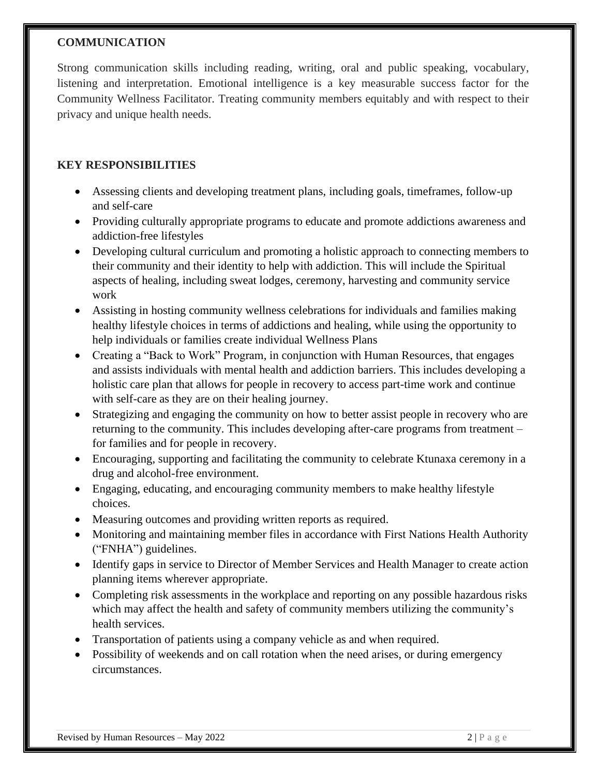#### **COMMUNICATION**

Strong communication skills including reading, writing, oral and public speaking, vocabulary, listening and interpretation. Emotional intelligence is a key measurable success factor for the Community Wellness Facilitator. Treating community members equitably and with respect to their privacy and unique health needs.

# **KEY RESPONSIBILITIES**

- Assessing clients and developing treatment plans, including goals, timeframes, follow-up and self-care
- Providing culturally appropriate programs to educate and promote addictions awareness and addiction-free lifestyles
- Developing cultural curriculum and promoting a holistic approach to connecting members to their community and their identity to help with addiction. This will include the Spiritual aspects of healing, including sweat lodges, ceremony, harvesting and community service work
- Assisting in hosting community wellness celebrations for individuals and families making healthy lifestyle choices in terms of addictions and healing, while using the opportunity to help individuals or families create individual Wellness Plans
- Creating a "Back to Work" Program, in conjunction with Human Resources, that engages and assists individuals with mental health and addiction barriers. This includes developing a holistic care plan that allows for people in recovery to access part-time work and continue with self-care as they are on their healing journey.
- Strategizing and engaging the community on how to better assist people in recovery who are returning to the community. This includes developing after-care programs from treatment – for families and for people in recovery.
- Encouraging, supporting and facilitating the community to celebrate Ktunaxa ceremony in a drug and alcohol-free environment.
- Engaging, educating, and encouraging community members to make healthy lifestyle choices.
- Measuring outcomes and providing written reports as required.
- Monitoring and maintaining member files in accordance with First Nations Health Authority ("FNHA") guidelines.
- Identify gaps in service to Director of Member Services and Health Manager to create action planning items wherever appropriate.
- Completing risk assessments in the workplace and reporting on any possible hazardous risks which may affect the health and safety of community members utilizing the community's health services.
- Transportation of patients using a company vehicle as and when required.
- Possibility of weekends and on call rotation when the need arises, or during emergency circumstances.